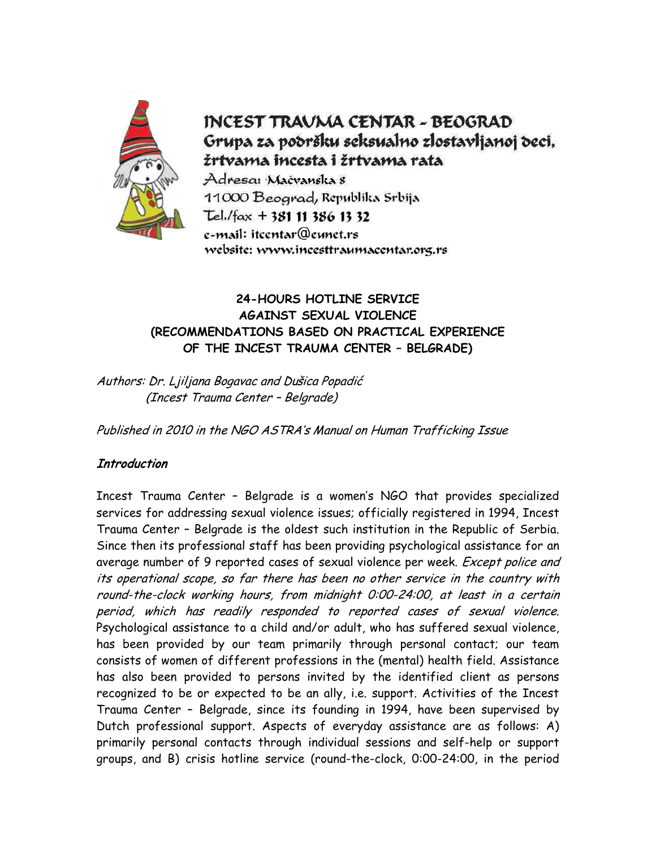

# **INCEST TRAVMA CENTAR - BEOGRAD** Grupa za podršku seksualno zlostavljanoj deci, žrtvama incesta i žrtvama rata

Adresa: Mačvanska 8 11000 Beograd, Republika Srbija Tel./fax + 381 11 386 13 32 e-mail: itcentar@eunet.rs website: www.incesttraumacentar.org.rs

## **24-HOURS HOTLINE SERVICE AGAINST SEXUAL VIOLENCE (RECOMMENDATIONS BASED ON PRACTICAL EXPERIENCE OF THE INCEST TRAUMA CENTER – BELGRADE)**

Authors: Dr. Ljiljana Bogavac and Dušica Popadić (Incest Trauma Center – Belgrade)

Published in 2010 in the NGO ASTRA's Manual on Human Trafficking Issue

## **Introduction**

Incest Trauma Center – Belgrade is a women's NGO that provides specialized services for addressing sexual violence issues; officially registered in 1994, Incest Trauma Center – Belgrade is the oldest such institution in the Republic of Serbia. Since then its professional staff has been providing psychological assistance for an average number of 9 reported cases of sexual violence per week. Except police and its operational scope, so far there has been no other service in the country with round-the-clock working hours, from midnight 0:00-24:00, at least in a certain period, which has readily responded to reported cases of sexual violence. Psychological assistance to a child and/or adult, who has suffered sexual violence, has been provided by our team primarily through personal contact; our team consists of women of different professions in the (mental) health field. Assistance has also been provided to persons invited by the identified client as persons recognized to be or expected to be an ally, i.e. support. Activities of the Incest Trauma Center – Belgrade, since its founding in 1994, have been supervised by Dutch professional support. Aspects of everyday assistance are as follows: A) primarily personal contacts through individual sessions and self-help or support groups, and B) crisis hotline service (round-the-clock, 0:00-24:00, in the period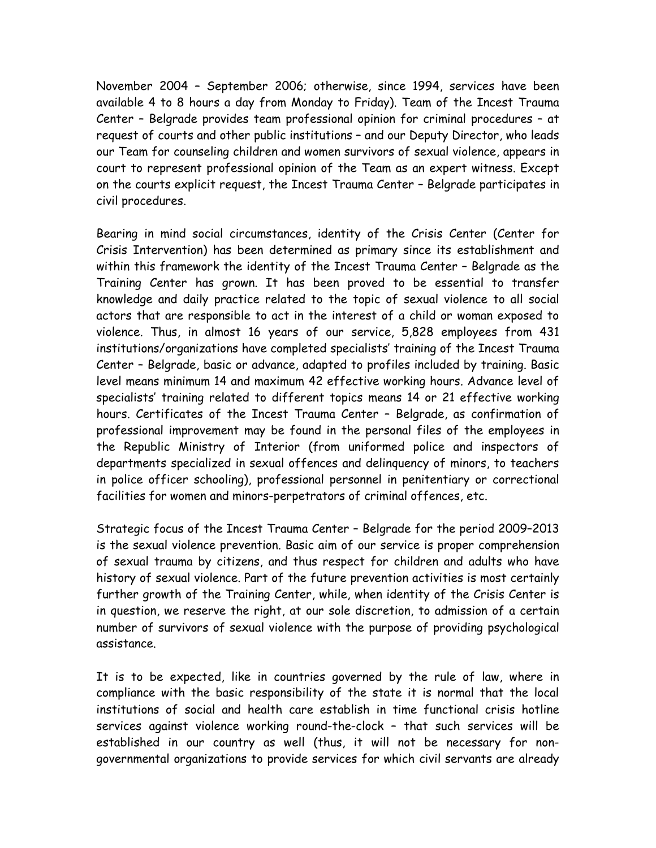November 2004 – September 2006; otherwise, since 1994, services have been available 4 to 8 hours a day from Monday to Friday). Team of the Incest Trauma Center – Belgrade provides team professional opinion for criminal procedures – at request of courts and other public institutions – and our Deputy Director, who leads our Team for counseling children and women survivors of sexual violence, appears in court to represent professional opinion of the Team as an expert witness. Except on the courts explicit request, the Incest Trauma Center – Belgrade participates in civil procedures.

Bearing in mind social circumstances, identity of the Crisis Center (Center for Crisis Intervention) has been determined as primary since its establishment and within this framework the identity of the Incest Trauma Center – Belgrade as the Training Center has grown. It has been proved to be essential to transfer knowledge and daily practice related to the topic of sexual violence to all social actors that are responsible to act in the interest of a child or woman exposed to violence. Thus, in almost 16 years of our service, 5,828 employees from 431 institutions/organizations have completed specialists' training of the Incest Trauma Center – Belgrade, basic or advance, adapted to profiles included by training. Basic level means minimum 14 and maximum 42 effective working hours. Advance level of specialists' training related to different topics means 14 or 21 effective working hours. Certificates of the Incest Trauma Center – Belgrade, as confirmation of professional improvement may be found in the personal files of the employees in the Republic Ministry of Interior (from uniformed police and inspectors of departments specialized in sexual offences and delinquency of minors, to teachers in police officer schooling), professional personnel in penitentiary or correctional facilities for women and minors-perpetrators of criminal offences, etc.

Strategic focus of the Incest Trauma Center – Belgrade for the period 2009–2013 is the sexual violence prevention. Basic aim of our service is proper comprehension of sexual trauma by citizens, and thus respect for children and adults who have history of sexual violence. Part of the future prevention activities is most certainly further growth of the Training Center, while, when identity of the Crisis Center is in question, we reserve the right, at our sole discretion, to admission of a certain number of survivors of sexual violence with the purpose of providing psychological assistance.

It is to be expected, like in countries governed by the rule of law, where in compliance with the basic responsibility of the state it is normal that the local institutions of social and health care establish in time functional crisis hotline services against violence working round-the-clock – that such services will be established in our country as well (thus, it will not be necessary for nongovernmental organizations to provide services for which civil servants are already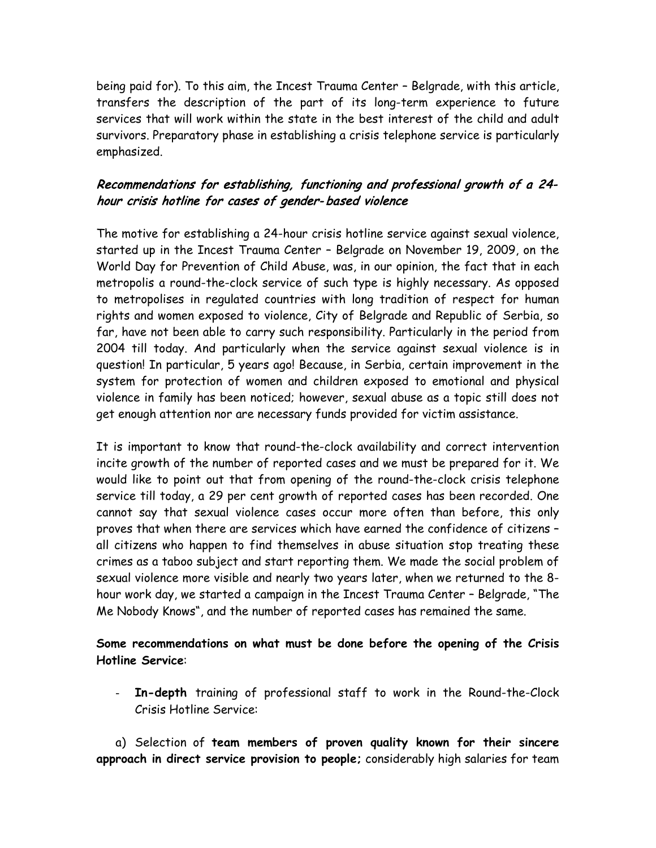being paid for). To this aim, the Incest Trauma Center – Belgrade, with this article, transfers the description of the part of its long-term experience to future services that will work within the state in the best interest of the child and adult survivors. Preparatory phase in establishing a crisis telephone service is particularly emphasized.

## Recommendations for establishing, functioning and professional growth of a 24 hour crisis hotline for cases of gender- based violence

The motive for establishing a 24-hour crisis hotline service against sexual violence, started up in the Incest Trauma Center – Belgrade on November 19, 2009, on the World Day for Prevention of Child Abuse, was, in our opinion, the fact that in each metropolis a round-the-clock service of such type is highly necessary. As opposed to metropolises in regulated countries with long tradition of respect for human rights and women exposed to violence, City of Belgrade and Republic of Serbia, so far, have not been able to carry such responsibility. Particularly in the period from 2004 till today. And particularly when the service against sexual violence is in question! In particular, 5 years ago! Because, in Serbia, certain improvement in the system for protection of women and children exposed to emotional and physical violence in family has been noticed; however, sexual abuse as a topic still does not get enough attention nor are necessary funds provided for victim assistance.

It is important to know that round-the-clock availability and correct intervention incite growth of the number of reported cases and we must be prepared for it. We would like to point out that from opening of the round-the-clock crisis telephone service till today, a 29 per cent growth of reported cases has been recorded. One cannot say that sexual violence cases occur more often than before, this only proves that when there are services which have earned the confidence of citizens – all citizens who happen to find themselves in abuse situation stop treating these crimes as a taboo subject and start reporting them. We made the social problem of sexual violence more visible and nearly two years later, when we returned to the 8 hour work day, we started a campaign in the Incest Trauma Center – Belgrade, "The Me Nobody Knows", and the number of reported cases has remained the same.

### **Some recommendations on what must be done before the opening of the Crisis Hotline Service**:

- **In-depth** training of professional staff to work in the Round-the-Clock Crisis Hotline Service:

a) Selection of **team members of proven quality known for their sincere approach in direct service provision to people;** considerably high salaries for team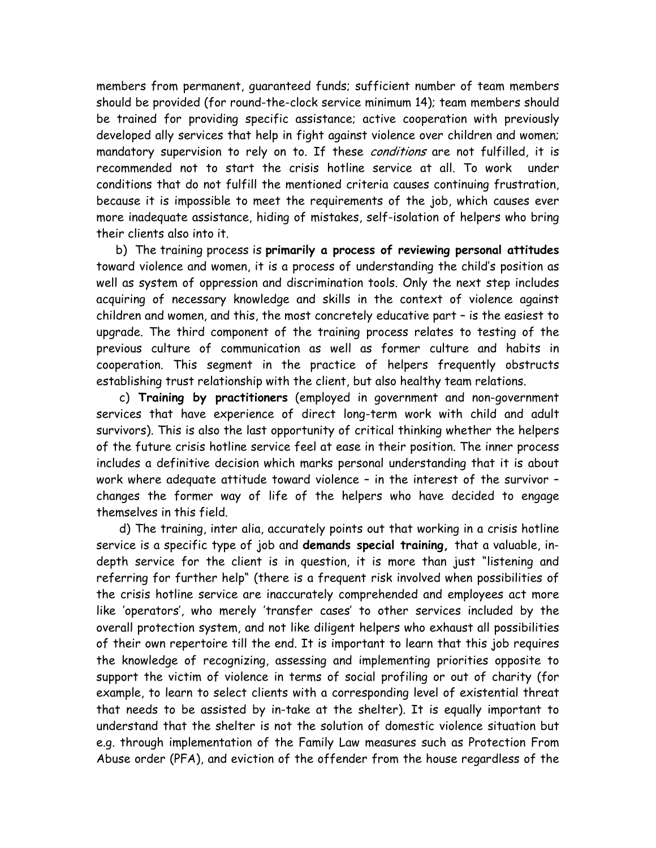members from permanent, guaranteed funds; sufficient number of team members should be provided (for round-the-clock service minimum 14); team members should be trained for providing specific assistance; active cooperation with previously developed ally services that help in fight against violence over children and women; mandatory supervision to rely on to. If these conditions are not fulfilled, it is recommended not to start the crisis hotline service at all. To work under conditions that do not fulfill the mentioned criteria causes continuing frustration, because it is impossible to meet the requirements of the job, which causes ever more inadequate assistance, hiding of mistakes, self-isolation of helpers who bring their clients also into it.

b) The training process is **primarily a process of reviewing personal attitudes** toward violence and women, it is a process of understanding the child's position as well as system of oppression and discrimination tools. Only the next step includes acquiring of necessary knowledge and skills in the context of violence against children and women, and this, the most concretely educative part – is the easiest to upgrade. The third component of the training process relates to testing of the previous culture of communication as well as former culture and habits in cooperation. This segment in the practice of helpers frequently obstructs establishing trust relationship with the client, but also healthy team relations.

c) **Training by practitioners** (employed in government and non-government services that have experience of direct long-term work with child and adult survivors). This is also the last opportunity of critical thinking whether the helpers of the future crisis hotline service feel at ease in their position. The inner process includes a definitive decision which marks personal understanding that it is about work where adequate attitude toward violence – in the interest of the survivor – changes the former way of life of the helpers who have decided to engage themselves in this field.

d) The training, inter alia, accurately points out that working in a crisis hotline service is a specific type of job and **demands special training,** that a valuable, indepth service for the client is in question, it is more than just "listening and referring for further help" (there is a frequent risk involved when possibilities of the crisis hotline service are inaccurately comprehended and employees act more like 'operators', who merely 'transfer cases' to other services included by the overall protection system, and not like diligent helpers who exhaust all possibilities of their own repertoire till the end. It is important to learn that this job requires the knowledge of recognizing, assessing and implementing priorities opposite to support the victim of violence in terms of social profiling or out of charity (for example, to learn to select clients with a corresponding level of existential threat that needs to be assisted by in-take at the shelter). It is equally important to understand that the shelter is not the solution of domestic violence situation but e.g. through implementation of the Family Law measures such as Protection From Abuse order (PFA), and eviction of the offender from the house regardless of the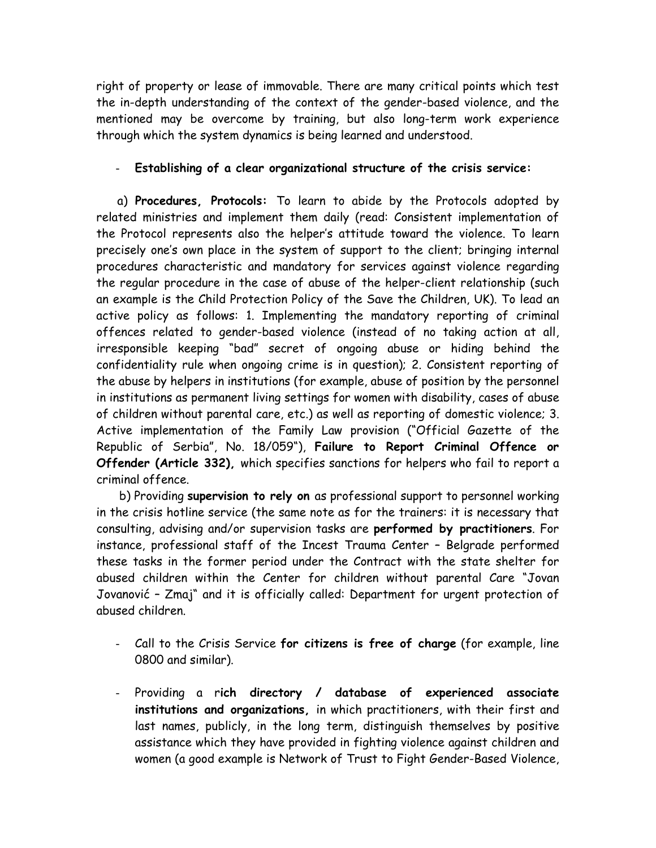right of property or lease of immovable. There are many critical points which test the in-depth understanding of the context of the gender-based violence, and the mentioned may be overcome by training, but also long-term work experience through which the system dynamics is being learned and understood.

#### - **Establishing of a clear organizational structure of the crisis service:**

 a) **Procedures, Protocols:** To learn to abide by the Protocols adopted by related ministries and implement them daily (read: Consistent implementation of the Protocol represents also the helper's attitude toward the violence. To learn precisely one's own place in the system of support to the client; bringing internal procedures characteristic and mandatory for services against violence regarding the regular procedure in the case of abuse of the helper-client relationship (such an example is the Child Protection Policy of the Save the Children, UK). To lead an active policy as follows: 1. Implementing the mandatory reporting of criminal offences related to gender-based violence (instead of no taking action at all, irresponsible keeping "bad" secret of ongoing abuse or hiding behind the confidentiality rule when ongoing crime is in question); 2. Consistent reporting of the abuse by helpers in institutions (for example, abuse of position by the personnel in institutions as permanent living settings for women with disability, cases of abuse of children without parental care, etc.) as well as reporting of domestic violence; 3. Active implementation of the Family Law provision ("Official Gazette of the Republic of Serbia", No. 18/059"), **Failure to Report Criminal Offence or Offender (Article 332),** which specifies sanctions for helpers who fail to report a criminal offence.

b) Providing **supervision to rely on** as professional support to personnel working in the crisis hotline service (the same note as for the trainers: it is necessary that consulting, advising and/or supervision tasks are **performed by practitioners**. For instance, professional staff of the Incest Trauma Center – Belgrade performed these tasks in the former period under the Contract with the state shelter for abused children within the Center for children without parental Care "Jovan Jovanović – Zmaj" and it is officially called: Department for urgent protection of abused children.

- Call to the Crisis Service **for citizens is free of charge** (for example, line 0800 and similar).
- Providing a r**ich directory / database of experienced associate institutions and organizations,** in which practitioners, with their first and last names, publicly, in the long term, distinguish themselves by positive assistance which they have provided in fighting violence against children and women (a good example is Network of Trust to Fight Gender-Based Violence,